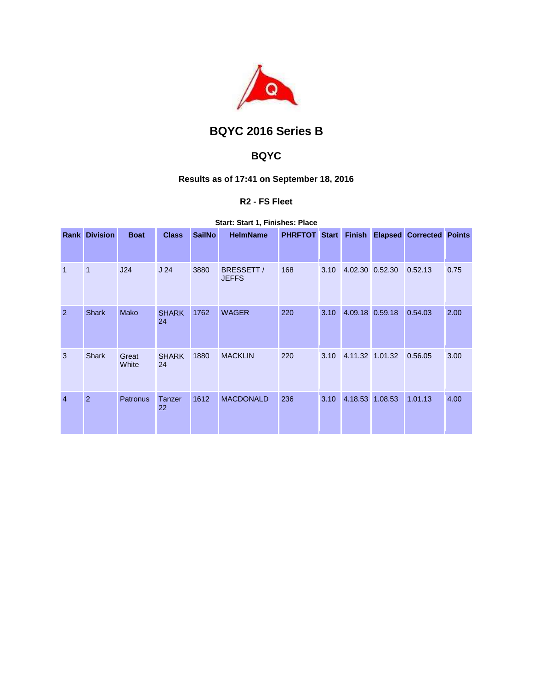

# **BQYC 2016 Series B**

## **BQYC**

### **Results as of 17:41 on September 18, 2016**

### **R2 - FS Fleet**

**Start: Start 1, Finishes: Place** 

| Rank           | <b>Division</b> | <b>Boat</b>     | <b>Class</b>       | <b>SailNo</b> | <b>HelmName</b>           | <b>PHRFTOT Start</b> |      | <b>Finish</b>   | <b>Elapsed Corrected Points</b> |      |
|----------------|-----------------|-----------------|--------------------|---------------|---------------------------|----------------------|------|-----------------|---------------------------------|------|
|                |                 |                 |                    |               |                           |                      |      |                 |                                 |      |
| 1              | $\mathbf{1}$    | J24             | J <sub>24</sub>    | 3880          | BRESSETT/<br><b>JEFFS</b> | 168                  | 3.10 | 4.02.30 0.52.30 | 0.52.13                         | 0.75 |
| 2              | <b>Shark</b>    | Mako            | <b>SHARK</b><br>24 | 1762          | <b>WAGER</b>              | 220                  | 3.10 | 4.09.18 0.59.18 | 0.54.03                         | 2.00 |
| 3              | <b>Shark</b>    | Great<br>White  | <b>SHARK</b><br>24 | 1880          | <b>MACKLIN</b>            | 220                  | 3.10 | 4.11.32 1.01.32 | 0.56.05                         | 3.00 |
| $\overline{4}$ | $\overline{2}$  | <b>Patronus</b> | Tanzer<br>22       | 1612          | <b>MACDONALD</b>          | 236                  | 3.10 | 4.18.53 1.08.53 | 1.01.13                         | 4.00 |